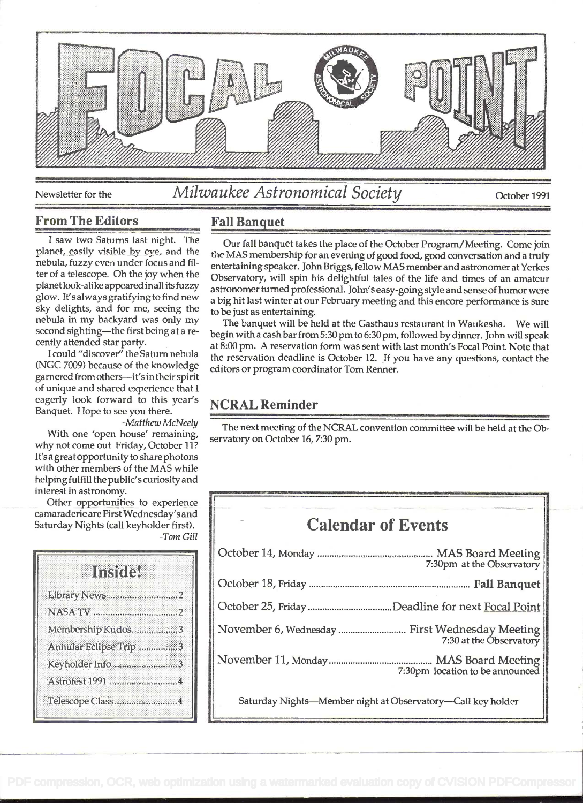

## Newsletter for the *Milwaukee Astronomical Society* October 1991

#### From The Editors

I saw two Saturns last night. The nebula, fuzzy even under focus and filter of a telescope. Oh the joy when the planetlook-alike appeared mall its fuzzy glow. It's always gratifying to find new sky delights, and for me, seeing the nebula in my backyard was only my second sighting-the first being at a recently attended star party.

<sup>I</sup>could "discover" the Saturn nebula (NCC 7009) because of the knowledge garnered from others-it's in their spirit of unique and shared experience that <sup>I</sup> eagerly look forward to this year's Banquet. Hope to see you there.

-Matthew McNeely With one 'open house' remaining, why not come out Friday, October 11? It's a greatopportunity to share photons with other members of the MAS while helping fulfill the public's curiosity and interest in astronomy.

Other opportunities to experience camaraderie are FirstWednesday's and Saturday Nights (call keyholder first). -Tom Gill

| ansne.                 |  |  |
|------------------------|--|--|
|                        |  |  |
|                        |  |  |
| Membership Kudos. 3    |  |  |
| Annular Eclipse Trip 3 |  |  |
| Keyholder Info 3       |  |  |
| Astrofest 1991  4      |  |  |
| Telescope Class4       |  |  |

#### Fall Banauet

planet, easily visible by eye, and the the MAS membership for an evening of good food, good conversation and a truly Our fall banquet takes the place of the October Program/Meeting. Come join entertaining speaker. John Briggs, fellow MAS member and astronomer at Yerkes Observatory, will spin his delightful tales of the life and times of an amateur astronomer turned professional. John's easy-going style and sense of humor were a big hit last winter at our February meeting and this encore performance is sure to be just as entertaining.

> The banquet will be held at the Casthaus restaurant in Waukesha. We will begin with a cash bar from 5:30 pm to 6:30 pm, followed by dinner. John will speak at 8:00 pm. A reservation form was sent with last month's Focal Point. Note that the reservation deadline is October 12. If you have any questions, contact the editors or program coordinator Tom Renner.

## NCRAL Reminder

The next meeting of the NCRAL convention committee will be held at the Observatory on October 16, 7:30 pm.

# Calendar of Events October 14, Monday ................................................ MAS Board Meeting 7:30pm at the Observatory October18, Friday ................................................................... Fall Banquet October 25, Friday ................................... Deadline for next Focal Point November 6, Wednesday ............................ First Wednesday Meeting 7:30 at the Observatory November 11, Monday ........................................... MAS Board Meeting 7:30pm location to be announced Saturday Nights-Member night at Observatory-Call key holder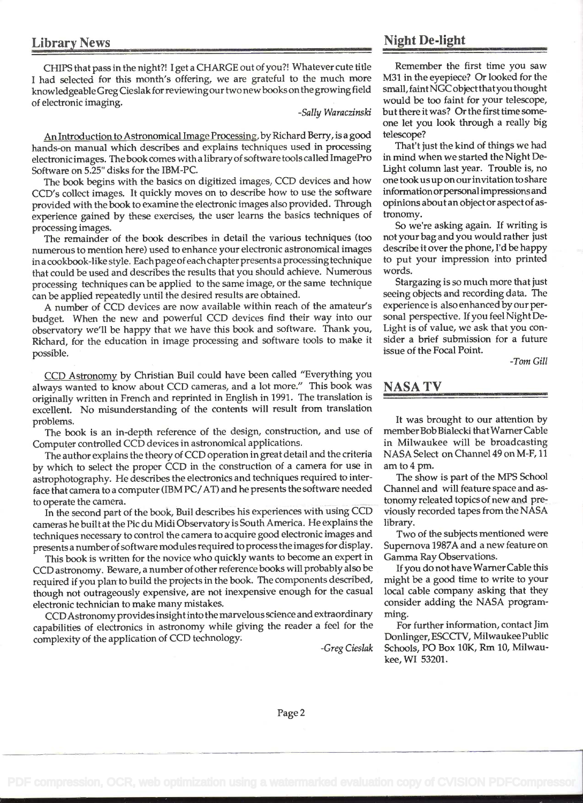### Library News

CHIPS that pass in the night?! I get a CHARGE out of you?! Whatever cute title <sup>I</sup>had selected for this month's offering, we are grateful to the much more knowledgeableGreg Cieslak for reviewing our two newbooks on the growing field of electronic imaging.

-Sally Waraczinski

An Introduction to Astronomical Image Processing, by Richard Berry, is a good hands-on manual which describes and explains techniques used in processing electronic images. Thebook comes with a library of software tools called ImagePro Software on 5.25" disks for the IBM-PC.

The book begins with the basics on digitized images, CCD devices and how CCD's collect images. It quickly moves on to describe how to use the software provided with the book to examine the electronic images also provided. Through experience gained by these exercises, the user learns the basics techniques of processing images.

The remainder of the book describes in detail the various techniques (too numerous to mention here) used to enhance your electronic astronomical images in a cookbook-like style. Each page of each chapter presents a processing technique that could be used and describes the results that you should achieve. Numerous processing techniques can be applied to the same image, or the same technique can be applied repeatedly until the desired results are obtained.

A number of CCD devices are now available within reach of the amateur's budget. When the new and powerful CCD devices find their way into our observatory we'll be happy that we have this book and software. Thank you, Richard, for the education in image processing and software tools to make it possible.

CCD Astronomy by Christian Buil could have been called "Everything you always wanted to know about CCD cameras, and a lot more." This book was originally written in French and reprinted in English in 1991 . The translation is excellent. No misunderstanding of the contents will result from translation problems.

The book is an in-depth reference of the design, construction, and use of Computer controlled CCD devices in astronomical applications.

The author explains the theory of CCD operation in great detail and the criteria by which to select the proper CCD in the construction of a camera for use in astrophotography. He describes the electronics and techniques required to interface that camera to a computer (IBM PC/AT) and he presents the software needed to operate the camera.

In the second part of the book, Buil describes his experiences with using CCD cameras he built at the Pic du Midi Observatory is South America. He explains the techniques necessary to control the camera to acquire good electronic images and presents a number of software modules required to process the images for display.

This book is written for the novice who quickly wants to become an expert in CCD astronomy. Beware, a number of other reference books will probably also be required if you plan to build the projects in the book. The components described, though not outrageously expensive, are not inexpensive enough for the casual electronic technician to make many mistakes.

CCDAstronomy provides insight into the marvelous science and extraordinary capabilities of electronics in astronomy while giving the reader a feel for the complexity of the application of CCD technology.

-Greg Cieslak

## Night De-light

Remember the first time you saw M31 in the eyepiece? Or looked for the small, faintNGC objectthatyou thought would be too faint for your telescope, but there it was? Or the first time someone let you look through a really big telescope?

That't just the kind of things we had in mind when we started the Night De-Light column last year. Trouble is, no one took us up on our invitation to share information orpersonal impressions and opinions about an object or aspect of astronomy.

So we're asking again. If writing is not your bag and you would rather just describe it over the phone, I'd be happy to put your impression into printed words.

Stargazing is so much more that just seeing objects and recording data. The experience is also enhanced by our personal perspective. If you feel Night De-Light is of value, we ask that you consider a brief submission for a future issue of the Focal Point.

-Tom Gill

### NASA TV

It was brought to our attention by member Bob Bialecki that Warner Cable in Milwaukee will be broadcasting NASA Select on Channel 49 on M-F, II amto4 pm.

The show is part of the MPS School Channel and will feature space and astonomy releated topics of new and previously recorded tapes from the NASA library.

Two of the subjects mentioned were Supernova 1987A and a new feature on Gamma Ray Observations.

If you do not have Warner Cable this might be a good time to write to your local cable company asking that they consider adding the NASA programming.

For further information, contact Jim Donlinger, ESCCTV, Milwaukee Public Schools, PO Box 10K, Rm IO, Milwaukee,WI 53201.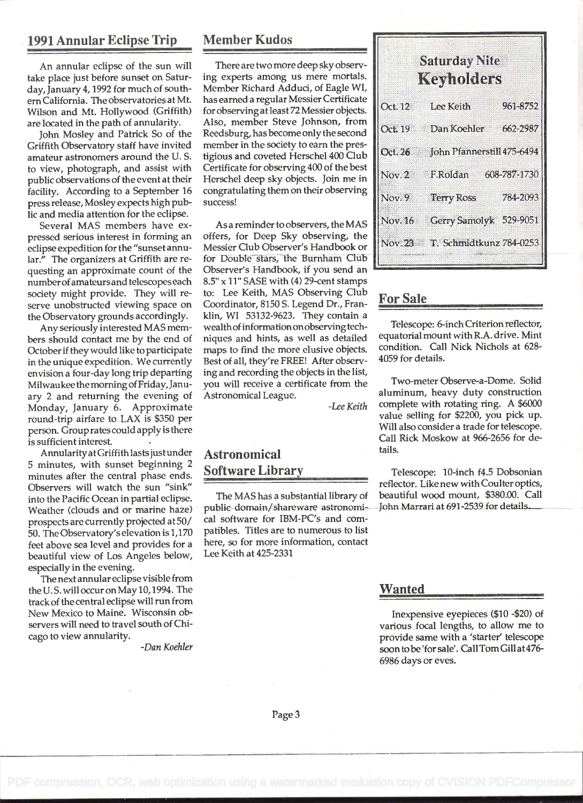#### 1991 Annular Eclipse Trip

An annular eclipse of the sun will take place just before sunset on Saturday, January 4, 1992 for much of south em California. The observatories at Mt. Wilson and Mt. Hollywood (Griffith) are located in the path of annularity.

John Mosley and Patrick So of the Griffith Observatory staff have invited amateur astronomers around the U. S. to view, photograph, and assist with public observations of the event at their facility. According to a September 16 press release, Mosley expects high public and media attention for the eclipse.

Several MAS members have expressed serious interest in forming an eclipse expedition for the "sunset annular." The organizers at Griffith are requesting an approximate count of the number of amateurs and telescopes each society might provide. They will reserve unobstructed viewing space on the Observatory grounds accordingly.

Any seriously interested MAS members should contact me by the end of October if they would like to participate in the unique expedition. We currently envision a four-day long trip departing Milwaukee the morning of Friday, January 2 and returning the evening of Monday, January 6. Approximate round-trip airfare to LAX is \$350 per person. Group rates could apply is there is sufficient interest.

Annularity at Griffith lasts just under 5 minutes, with sunset beginning 2 minutes after the central phase ends. Observers will watch the sun "sink" into the Pacific Ocean in partial eclipse. Weather (clouds and or marine haze) prospects are currently projected at 50/ 50. The Observatory's elevation is 1,170 feet above sea level and provides for a beautiful view of Los Angeles below, especially in the evening.

The next annular eclipse visible from the U. S. will occur on May 10, 1994. The track of the central eclipse will run from New Mexico to Maine. Wisconsin observers will need to travel south of Chicago to view annularity.

-Dan Koehier

#### Member Kudos

There are two more deep sky observing experts among us mere mortals. Member Richard Adduci, of Eagle WI, has earned a regular Messier Certificate for observing at least 72 Messier objects. Also, member Steve Johnson, from Reedsburg, has become only the second member in the society to earn the prestigious and coveted Herschel 400 Club Certificate for observing 400 of the best Herschel deep sky objects. Join me in congratulating them on their observing success!

As a reminder to observers, the MAS offers, for Deep Sky observing, the Messier Club Observer's Handbook or for Double stars, the Burnham Club Observer's Handbook, if you send an  $8.5" \times 11"$  SASE with (4) 29-cent stamps to: Lee Keith, MAS Observing Club Coordinator, 8150 S. Legend Dr., Franklin, WI 53132-9623. They contain a wealthof information onobserving techniques and hints, as well as detailed maps to find the more elusive objects. Best of all, they're FREE! After observing and recording the objects in the list, you will receive a certificate from the Astronomical League.

-Lee Keith

## Astronomical Software Library

The MAS has a substantial library of public domain/shareware astronomical software for IBM-PC's and compatibles. Titles are to numerous to list here, so for more information, contact Lee Keith at 425-2331

| <b>Saturday Nite</b><br><u>Keynoliters</u> |                                    |          |
|--------------------------------------------|------------------------------------|----------|
|                                            | Oct. 12 Lee Keith                  | 961-8752 |
|                                            | Oct. 19 Dan Koehler 662-2987       |          |
|                                            | Oct. 26 John Pfannerstill 475-6494 |          |
|                                            | Nov. 2 F.Roldan 608-787-1730       |          |
|                                            | Nov. 9 Terry Ross                  | 784-2093 |
|                                            | Nov. 16 Gerry Samolyk 529-9051     |          |
|                                            | Nov. 23 T. Schmidtkunz 784-0253    |          |

#### For Sale

Telescope: 6-inch Criterion reflector, equatorial mount with R.A. drive. Mint condition. Call Nick Nichols at 628- 4059 for details.

Two-meter Observe-a-Dome. Solid aluminum, heavy duty construction complete with rotating ring. A \$6000 value selling for \$2200, you pick up. Will also consider a trade for telescope. Call Rick Moskow at 966-2656 for details.

Telescope: 10-inch f4.5 Dobsonian reflector. Like new with Coulter optics, beautiful wood mount, \$380.00. Call John Marrari at 691-2539 for details.

#### Wanted

Inexpensive eyepieces (\$10 -\$20) of various focal lengths, to allow me to provide same with a 'starter' telescope soon tobe 'for sale'. Call Tom Gill at 476- 6986 days or eves.